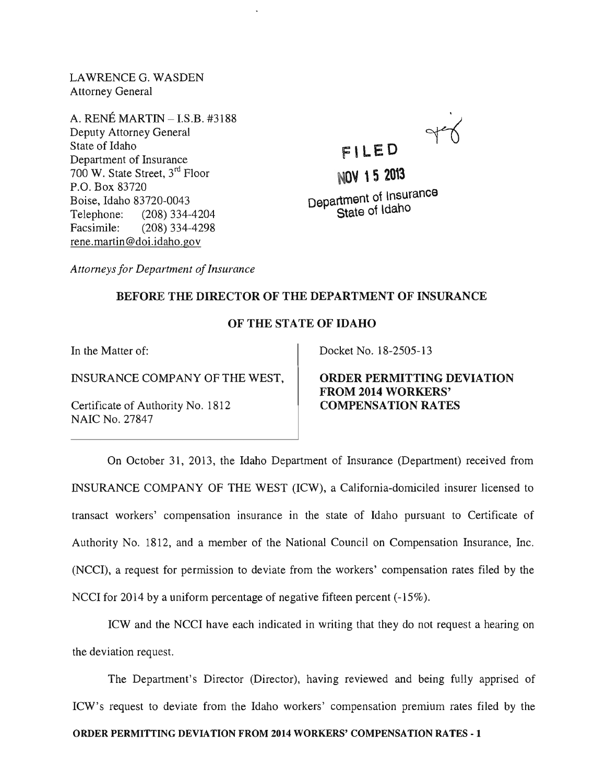LAWRENCE G. WASDEN Attorney General

A. RENE MARTIN - I.S.B. #3188 Deputy Attorney General State of Idaho Department of Insurance 700 W. State Street, 3rd Floor P.O. Box 83720 Boise, Idaho 83720-0043 Telephone: (208) 334-4204 Facsimile: (208) 334-4298 rene. martin @doi.idaho.gov



**NOV' 5 2013**  Department of Insurance State of ldaho

*Attorneys for Department of Insurance* 

## BEFORE THE DIRECTOR OF THE DEPARTMENT OF INSURANCE

## OF THE STATE OF IDAHO

In the Matter of:

INSURANCE COMPANY OF THE WEST,

Certificate of Authority No. 1812 NAIC No. 27847

Docket No. 18-2505-13

ORDER PERMITTING DEVIATION FROM 2014 WORKERS' COMPENSATION RATES

On October 31, 2013, the Idaho Department of Insurance (Department) received from INSURANCE COMPANY OF THE WEST (ICW), a California-domiciled insurer licensed to transact workers' compensation insurance in the state of Idaho pursuant to Certificate of Authority No. 1812, and a member of the National Council on Compensation Insurance, Inc. (NCCI), a request for permission to deviate from the workers' compensation rates filed by the NCCI for 2014 by a uniform percentage of negative fifteen percent (-15%).

ICW and the NCCI have each indicated in writing that they do not request a hearing on the deviation request.

The Department's Director (Director), having reviewed and being fully apprised of ICW's request to deviate from the Idaho workers' compensation premium rates filed by the ORDER PERMITTING DEVIATION FROM 2014 WORKERS' COMPENSA TION RATES - 1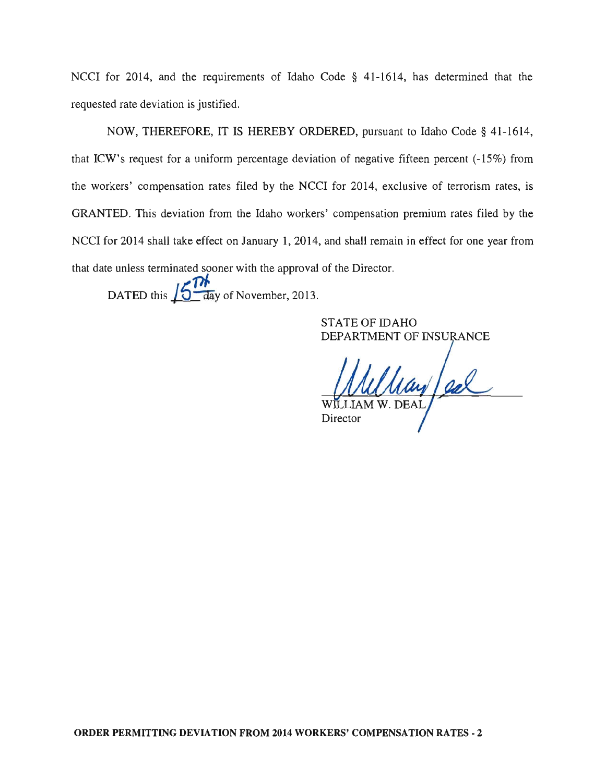NCCI for 2014, and the requirements of Idaho Code § 41-1614, has determined that the requested rate deviation is justified.

NOW, THEREFORE, IT IS HEREBY ORDERED, pursuant to Idaho Code § 41-1614, that ICW's request for a uniform percentage deviation of negative fifteen percent (-15%) from the workers' compensation rates filed by the NCCI for 2014, exclusive of terrorism rates, is GRANTED. This deviation from the Idaho workers' compensation premium rates filed by the NCCI for 2014 shall take effect on January 1, 2014, and shall remain in effect for one year from that date unless terminated sooner with the approval of the Director.

DATED this  $16<sup>Th</sup>$  day of November, 2013.

STATE OF IDAHO DEPARTMENT OF INSURANCE

Ulay/ed

Director